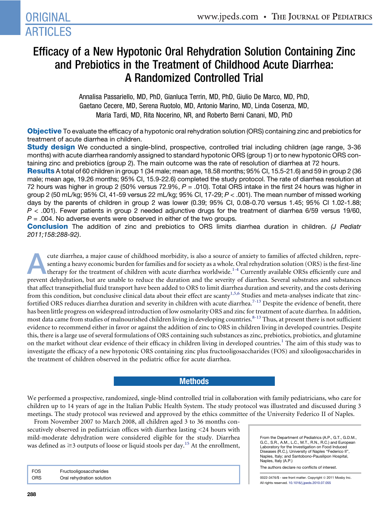# Efficacy of a New Hypotonic Oral Rehydration Solution Containing Zinc and Prebiotics in the Treatment of Childhood Acute Diarrhea: A Randomized Controlled Trial

Annalisa Passariello, MD, PhD, Gianluca Terrin, MD, PhD, Giulio De Marco, MD, PhD, Gaetano Cecere, MD, Serena Ruotolo, MD, Antonio Marino, MD, Linda Cosenza, MD, Maria Tardi, MD, Rita Nocerino, NR, and Roberto Berni Canani, MD, PhD

Objective To evaluate the efficacy of a hypotonic oral rehydration solution (ORS) containing zinc and prebiotics for treatment of acute diarrhea in children.

**Study design** We conducted a single-blind, prospective, controlled trial including children (age range, 3-36 months) with acute diarrhea randomly assigned to standard hypotonic ORS (group 1) or to new hypotonic ORS containing zinc and prebiotics (group 2). The main outcome was the rate of resolution of diarrhea at 72 hours.

Results A total of 60 children in group 1 (34 male; mean age, 18.58 months; 95% CI, 15.5-21.6) and 59 in group 2 (36 male; mean age, 19.26 months; 95% CI, 15.9-22.6) completed the study protocol. The rate of diarrhea resolution at 72 hours was higher in group 2 (50% versus 72.9%, *P* = .010). Total ORS intake in the first 24 hours was higher in group 2 (50 mL/kg; 95% CI, 41-59 versus 22 mL/kg; 95% CI, 17-29; *P* < .001). The mean number of missed working days by the parents of children in group 2 was lower (0.39; 95% CI, 0.08-0.70 versus 1.45; 95% CI 1.02-1.88; *P* < .001). Fewer patients in group 2 needed adjunctive drugs for the treatment of diarrhea 6/59 versus 19/60, *P* = .004. No adverse events were observed in either of the two groups.

Conclusion The addition of zinc and prebiotics to ORS limits diarrhea duration in children. *(J Pediatr 2011;158:288-92)*.

cute diarrhea, a major cause of childhood morbidity, is also a source of anxiety to families of affected children, representing a heavy economic burden for families and for society as a whole. Oral rehydration solution (OR senting a heavy economic burden for families and for society as a whole. Oral rehydration solution (ORS) is the first-line prevent dehydration, but are unable to reduce the duration and the severity of diarrhea. Several substrates and substances that affect transepithelial fluid transport have been added to ORS to limit diarrhea duration and severity, and the costs deriving from this condition, but conclusive clinical data about their effect are scanty<sup>[1,5,6](#page-3-0)</sup> Studies and meta-analyses indicate that zinc-fortified ORS reduces diarrhea duration and severity in children with acute diarrhea.<sup>[7-13](#page-3-0)</sup> Despite the evidence of benefit, there has been little progress on widespread introduction of low osmolarity ORS and zinc for treatment of acute diarrhea. In addition, most data came from studies of malnourished children living in developing countries.<sup>[8-13](#page-3-0)</sup> Thus, at present there is not sufficient evidence to recommend either in favor or against the addition of zinc to ORS in children living in developed countries. Despite this, there is a large use of several formulations of ORS containing such substances as zinc, prebiotics, probiotics, and glutamine on the market without clear evidence of their efficacy in children living in developed countries.<sup>[1](#page-3-0)</sup> The aim of this study was to investigate the efficacy of a new hypotonic ORS containing zinc plus fructooligosaccharides (FOS) and xilooligosaccharides in the treatment of children observed in the pediatric office for acute diarrhea.

## **Methods**

We performed a prospective, randomized, single-blind controlled trial in collaboration with family pediatricians, who care for children up to 14 years of age in the Italian Public Health System. The study protocol was illustrated and discussed during 3 meetings. The study protocol was reviewed and approved by the ethics committee of the University Federico II of Naples.

From November 2007 to March 2008, all children aged 3 to 36 months consecutively observed in pediatrician offices with diarrhea lasting <24 hours with mild-moderate dehydration were considered eligible for the study. Diarrhea was defined as  $\geq$  3 outputs of loose or liquid stools per day.<sup>[15](#page-3-0)</sup> At the enrollment,

FOS Fructooligosaccharides ORS Oral rehydration solution

From the Department of Pediatrics (A.P., G.T., G.D.M., G.C., S.R., A.M., L.C., M.T., R.N., R.C.) and European Laboratory for the Investigation on Food Induced Diseases (R.C.), University of Naples "Federico II", Naples, Italy; and Santobono-Pausilipon Hospital, Naples, Italy (A.P.)

The authors declare no conflicts of interest.

0022-3476/\$ - see front matter. Copyright © 2011 Mosby Inc. All rights reserved. [10.1016/j.jpeds.2010.07.055](http://dx.doi.org/10.1016/j.jpeds.2010.07.055)

**ORIGINAL** 

**ARTICLES**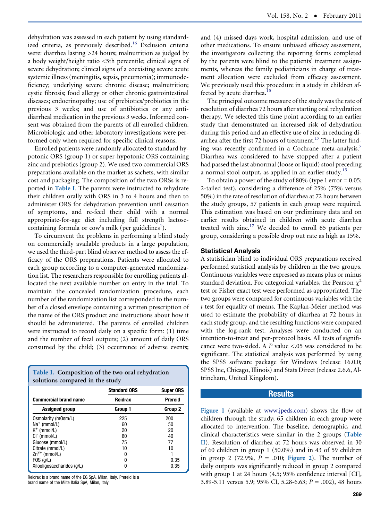dehydration was assessed in each patient by using standard-ized criteria, as previously described.<sup>[16](#page-3-0)</sup> Exclusion criteria were: diarrhea lasting >24 hours; malnutrition as judged by a body weight/height ratio <5th percentile; clinical signs of severe dehydration; clinical signs of a coexisting severe acute systemic illness (meningitis, sepsis, pneumonia); immunodeficiency; underlying severe chronic disease; malnutrition; cystic fibrosis; food allergy or other chronic gastrointestinal diseases; endocrinopathy; use of prebiotics/probiotics in the previous 3 weeks; and use of antibiotics or any antidiarrheal medication in the previous 3 weeks. Informed consent was obtained from the parents of all enrolled children. Microbiologic and other laboratory investigations were performed only when required for specific clinical reasons.

Enrolled patients were randomly allocated to standard hypotonic ORS (group 1) or super-hypotonic ORS containing zinc and prebiotics (group 2). We used two commercial ORS preparations available on the market as sachets, with similar cost and packaging. The composition of the two ORSs is reported in [Table I](#page-1-0). The parents were instructed to rehydrate their children orally with ORS in 3 to 4 hours and then to administer ORS for dehydration prevention until cessation of symptoms, and re-feed their child with a normal appropriate-for-age diet including full strength lactosecontaining formula or cow's milk (per guidelines<sup>1</sup>).

To circumvent the problems in performing a blind study on commercially available products in a large population, we used the third-part blind observer method to assess the efficacy of the ORS preparations. Patients were allocated to each group according to a computer-generated randomization list. The researchers responsible for enrolling patients allocated the next available number on entry in the trial. To maintain the concealed randomization procedure, each number of the randomization list corresponded to the number of a closed envelope containing a written prescription of the name of the ORS product and instructions about how it should be administered. The parents of enrolled children were instructed to record daily on a specific form: (1) time and the number of fecal outputs; (2) amount of daily ORS consumed by the child; (3) occurrence of adverse events;

| Table I. Composition of the two oral rehydration<br>solutions compared in the study |                     |                  |  |
|-------------------------------------------------------------------------------------|---------------------|------------------|--|
|                                                                                     | <b>Standard ORS</b> | <b>Super ORS</b> |  |
| <b>Commercial brand name</b>                                                        | <b>Reidrax</b>      | <b>Prereid</b>   |  |
| <b>Assigned group</b>                                                               | Group 1             | Group 2          |  |
| Osmolarity (mOsm/L)                                                                 | 225                 | 200              |  |
| $Na^+$ (mmol/L)                                                                     | 60                  | 50               |  |
| $K^+$ (mmol/L)                                                                      | 20                  | 20               |  |
| $Cl^-$ (mmol/L)                                                                     | 60                  | 40               |  |
| Glucose (mmol/L)                                                                    | 75                  | 77               |  |
| Citrate (mmol/L)                                                                    | 10                  | 10               |  |
| $Zn^{2+}$ (mmol/L)                                                                  | n                   |                  |  |
| $FOS$ (g/L)                                                                         | N                   | 0.35             |  |
| Xilooligosaccharides (g/L)                                                          | 0                   | 0.35             |  |

<span id="page-1-0"></span>Reidrax is a brand name of the EG SpA, Milan, Italy. Prereid is a brand name of the Milte Italia SpA, Milan, Italy

and (4) missed days work, hospital admission, and use of other medications. To ensure unbiased efficacy assessment, the investigators collecting the reporting forms completed by the parents were blind to the patients' treatment assignments, whereas the family pediatricians in charge of treatment allocation were excluded from efficacy assessment. We previously used this procedure in a study in children af-fected by acute diarrhea.<sup>[15](#page-3-0)</sup>

The principal outcome measure of the study was the rate of resolution of diarrhea 72 hours after starting oral rehydration therapy. We selected this time point according to an earlier study that demonstrated an increased risk of dehydration during this period and an effective use of zinc in reducing di-arrhea after the first 72 hours of treatment.<sup>[17](#page-3-0)</sup> The latter find-ing was recently confirmed in a Cochrane meta-analysis.<sup>[7](#page-3-0)</sup> Diarrhea was considered to have stopped after a patient had passed the last abnormal (loose or liquid) stool preceding a normal stool output, as applied in an earlier study.<sup>[15](#page-3-0)</sup>

To obtain a power of the study of 80% (type 1 error  $= 0.05$ ; 2-tailed test), considering a difference of 25% (75% versus 50%) in the rate of resolution of diarrhea at 72 hours between the study groups, 57 patients in each group were required. This estimation was based on our preliminary data and on earlier results obtained in children with acute diarrhea treated with zinc.<sup>[17](#page-3-0)</sup> We decided to enroll 65 patients per group, considering a possible drop out rate as high as 15%.

#### Statistical Analysis

A statistician blind to individual ORS preparations received performed statistical analysis by children in the two groups. Continuous variables were expressed as means plus or minus standard deviation. For categorical variables, the Pearson  $\chi^2$ test or Fisher exact test were performed as appropriated. The two groups were compared for continuous variables with the t test for equality of means. The Kaplan-Meier method was used to estimate the probability of diarrhea at 72 hours in each study group, and the resulting functions were compared with the log-rank test. Analyses were conducted on an intention-to-treat and per-protocol basis. All tests of significance were two-sided. A P value <.05 was considered to be significant. The statistical analysis was performed by using the SPSS software package for Windows (release 16.0.0; SPSS Inc, Chicago, Illinois) and Stats Direct (release 2.6.6, Altrincham, United Kingdom).

#### **Results**

Figure 1 (available at [www.jpeds.com](http://www.jpeds.com)) shows the flow of children through the study; 65 children in each group were allocated to intervention. The baseline, demographic, and clinical characteristics were similar in the 2 groups ([Table](#page-2-0) [II](#page-2-0)). Resolution of diarrhea at 72 hours was observed in 30 of 60 children in group 1 (50.0%) and in 43 of 59 children in group 2 (72.9%,  $P = .010$ ; [Figure 2](#page-2-0)). The number of daily outputs was significantly reduced in group 2 compared with group 1 at 24 hours (4.5; 95% confidence interval [CI], 3.89-5.11 versus 5.9; 95% CI, 5.28-6.63;  $P = .002$ ), 48 hours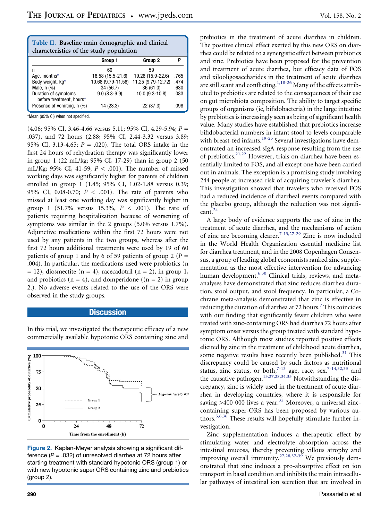| Table II. Baseline main demographic and clinical<br>characteristics of the study population |                    |                    |      |  |
|---------------------------------------------------------------------------------------------|--------------------|--------------------|------|--|
|                                                                                             | Group 1            | Group 2            | p    |  |
| n                                                                                           | 60                 | 59                 |      |  |
| Age, months*                                                                                | 18.58 (15.5-21.6)  | 19.26 (15.9-22.6)  | .765 |  |
| Body weight, kg*                                                                            | 10.68 (9.79-11.58) | 11.25 (9.79-12.72) | .474 |  |
| Male, n (%)                                                                                 | 34 (56.7)          | 36(61.0)           | .630 |  |
| Duration of symptoms<br>before treatment. hours*                                            | $9.0(8.3-9.9)$     | 10.0 (9.3-10.8)    | .083 |  |
| Presence of vomiting, n (%)                                                                 | 14 (23.3)          | 22 (37.3)          | .098 |  |

\*Mean (95% CI) when not specified.

(4.06; 95% CI, 3.46-4.66 versus 5.11; 95% CI, 4.29-5.94; P = .037), and 72 hours (2.88; 95% CI, 2.44-3.32 versus 3.89; 95% CI, 3.13-4.65;  $P = .020$ ). The total ORS intake in the first 24 hours of rehydration therapy was significantly lower in group 1 (22 mL/kg; 95% CI, 17-29) than in group 2 (50 mL/Kg; 95% CI, 41-59;  $P < .001$ ). The number of missed working days was significantly higher for parents of children enrolled in group 1 (1.45; 95% CI, 1.02-1.88 versus 0.39; 95% CI, 0.08-0.70;  $P < .001$ ). The rate of parents who missed at least one working day was significantly higher in group 1 (51.7% versus 15.3%,  $P < .001$ ). The rate of patients requiring hospitalization because of worsening of symptoms was similar in the 2 groups (5.0% versus 1.7%). Adjunctive medications within the first 72 hours were not used by any patients in the two groups, whereas after the first 72 hours additional treatments were used by 19 of 60 patients of group 1 and by 6 of 59 patients of group 2 ( $P =$ .004). In particular, the medications used were probiotics (n  $= 12$ ), diosmectite (n = 4), racecadotril (n = 2), in group 1, and probiotics  $(n = 4)$ , and domperidone  $((n = 2)$  in group 2.). No adverse events related to the use of the ORS were observed in the study groups.

### **Discussion**

In this trial, we investigated the therapeutic efficacy of a new commercially available hypotonic ORS containing zinc and



<span id="page-2-0"></span>Figure 2. Kaplan-Meyer analysis showing a significant difference (*P* = .032) of unresolved diarrhea at 72 hours after starting treatment with standard hypotonic ORS (group 1) or with new hypotonic super ORS containing zinc and prebiotics (group 2).

prebiotics in the treatment of acute diarrhea in children. The positive clinical effect exerted by this new ORS on diarrhea could be related to a synergistic effect between prebiotics and zinc. Prebiotics have been proposed for the prevention and treatment of acute diarrhea, but efficacy data of FOS and xilooligosaccharides in the treatment of acute diarrhea are still scant and conflicting.<sup>[1,18-26](#page-3-0)</sup> Many of the effects attributed to prebiotics are related to the consequences of their use on gut microbiota composition. The ability to target specific groups of organisms (ie, bifidobacteria) in the large intestine by prebiotics is increasingly seen as being of significant health value. Many studies have established that prebiotics increase bifidobacterial numbers in infant stool to levels comparable with breast-fed infants.<sup>[19-25](#page-3-0)</sup> Several investigations have demonstrated an increased sIgA response resulting from the use of prebiotics.[21,22](#page-3-0) However, trials on diarrhea have been essentially limited to FOS, and all except one have been carried out in animals. The exception is a promising study involving 244 people at increased risk of acquiring traveler's diarrhea. This investigation showed that travelers who received FOS had a reduced incidence of diarrheal events compared with the placebo group, although the reduction was not signifi-cant.<sup>[24](#page-3-0)</sup>

A large body of evidence supports the use of zinc in the treatment of acute diarrhea, and the mechanisms of action of zinc are becoming clearer.<sup>7-13,27-29</sup> Zinc is now included in the World Health Organization essential medicine list for diarrhea treatment, and in the 2008 Copenhagen Consensus, a group of leading global economists ranked zinc supplementation as the most effective intervention for advancing human development.<sup>[6,30](#page-3-0)</sup> Clinical trials, reviews, and metaanalyses have demonstrated that zinc reduces diarrhea duration, stool output, and stool frequency. In particular, a Cochrane meta-analysis demonstrated that zinc is effective in reducing the duration of diarrhea at [7](#page-3-0)2 hours.<sup>7</sup> This coincides with our finding that significantly fewer children who were treated with zinc-containing ORS had diarrhea 72 hours after symptom onset versus the group treated with standard hypotonic ORS. Although most studies reported positive effects elicited by zinc in the treatment of childhood acute diarrhea, some negative results have recently been published.<sup>[31](#page-4-0)</sup> This discrepancy could be caused by such factors as nutritional status, zinc status, or both,<sup>[7-13](#page-3-0)</sup> age, race, sex,<sup>[7-14,32,33](#page-3-0)</sup> and the causative pathogen.<sup>[13,27,28,34,35](#page-3-0)</sup> Notwithstanding the discrepancy, zinc is widely used in the treatment of acute diarrhea in developing countries, where it is responsible for saving  $>400$  000 lives a year.<sup>[32](#page-4-0)</sup> Moreover, a universal zinccontaining super-ORS has been proposed by various authors.[5,6,36](#page-3-0) These results will hopefully stimulate further investigation.

Zinc supplementation induces a therapeutic effect by stimulating water and electrolyte absorption across the intestinal mucosa, thereby preventing villous atrophy and improving overall immunity.<sup>[27,28,37-39](#page-3-0)</sup> We previously demonstrated that zinc induces a pro-absorptive effect on ion transport in basal condition and inhibits the main intracellular pathways of intestinal ion secretion that are involved in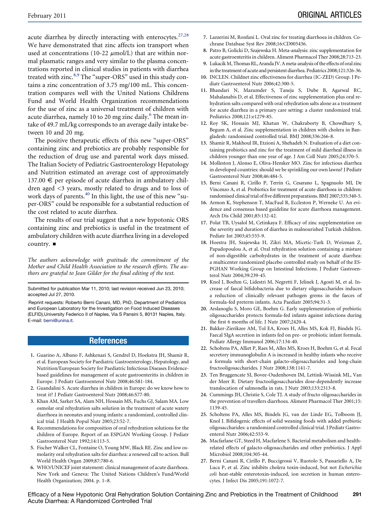acute diarrhea by directly interacting with enterocytes.<sup>[27,28](#page-3-0)</sup> We have demonstrated that zinc affects ion transport when used at concentrations (10-22  $\mu$ mol/L) that are within normal plasmatic ranges and very similar to the plasma concentrations reported in clinical studies in patients with diarrhea treated with zinc.<sup>[8,9](#page-3-0)</sup> The "super-ORS" used in this study contains a zinc concentration of 3.75 mg/100 mL. This concentration compares well with the United Nations Childrens Fund and World Health Organization recommendations for the use of zinc as a universal treatment of children with acute diarrhea, namely 10 to 20 mg zinc daily.<sup>[6](#page-3-0)</sup> The mean intake of 49.7 mL/kg corresponds to an average daily intake between 10 and 20 mg.

The positive therapeutic effects of this new "super-ORS" containing zinc and prebiotics are probably responsible for the reduction of drug use and parental work days missed. The Italian Society of Pediatric Gastroenterology Hepatology and Nutrition estimated an average cost of approximately 137.00  $\epsilon$  per episode of acute diarrhea in ambulatory children aged <3 years, mostly related to drugs and to loss of work days of parents.<sup>[40](#page-4-0)</sup> In this light, the use of this new "super-ORS'' could be responsible for a substantial reduction of the cost related to acute diarrhea.

The results of our trial suggest that a new hypotonic ORS containing zinc and prebiotics is useful in the treatment of ambulatory children with acute diarrhea living in a developed country.  $\blacksquare$ 

The authors acknowledge with gratitude the commitment of the Mother and Child Health Association to the research efforts. The authors are grateful to Jean Gilder for the final editing of the text.

Submitted for publication Mar 11, 2010; last revision received Jun 23, 2010; accepted Jul 27, 2010.

Reprint requests: Roberto Berni Canani, MD, PhD, Department of Pediatrics and European Laboratory for the Investigation on Food Induced Diseases (ELFID),University Federico II of Naples, Via S Pansini 5, 80131 Naples, Italy. E-mail: [berni@unina.it](mailto:berni@unina.it).

## References

- 1. Guarino A, Albano F, Ashkenazi S, Gendrel D, Hoekstra JH, Shamir R, et al. European Society for Paediatric Gastroenterology, Hepatology, and Nutrition/European Society for Paediatric Infectious Diseases Evidencebased guidelines for management of acute gastroenteritis in children in Europe. J Pediatr Gastroenterol Nutr 2008;46:S81-184.
- 2. Guandalini S. Acute diarrhea in children in Europe: do we know how to treat it? J Pediatr Gastroenterol Nutr 2008;46:S77-80.
- 3. Khan AM, Sarker SA, Alam NH, Hossain MS, Fuchs GJ, Salam MA. Low osmolar oral rehydration salts solution in the treatment of acute watery diarrhoea in neonates and young infants: a randomized, controlled clinical trial. J Health Popul Nutr 2005;23:52-7.
- 4. Recommendations for composition of oral rehydration solutions for the children of Europe. Report of an ESPGAN Working Group. J Pediatr Gastroenterol Nutr 1992;14:113-5.
- 5. Fischer Walker CL, Fontaine O, Young MW, Black RE. Zinc and low osmolarity oral rehydration salts for diarrhea: a renewed call to action. Bull World Health Organ 2009;87:780-6.
- 6. WHO/UNICEF joint statement: clinical management of acute diarrhoea. New York and Geneva: The United Nations Children's Fund/World Health Organization; 2004. p. 1–8.
- 7. Lazzerini M, Ronfani L. Oral zinc for treating diarrhoea in children. Cochrane Database Syst Rev 2008;16:CD005436.
- 8. Patro B, Golicki D, Szajewska H. Meta-analysis: zinc supplementation for acute gastroenteritis in children. Aliment Pharmacol Ther 2008;28:713-23.
- 9. LukacikM, Thomas RL, Aranda JV. A meta-analysis of the effects of oral zinc in the treatment of acute and persistent diarrhea. Pediatrics 2008;121:326-36.
- 10. INCLEN. Childnet zinc effectiveness for diarrhea (IC-ZED) Group. J Pediatr Gastroenterol Nutr 2006;42:300-5.
- 11. Bhandari N, Mazumder S, Taneja S, Dube B, Agarwal RC, Mahalanabis D, et al. Effectiveness of zinc supplementation plus oral rehydration salts compared with oral rehydration salts alone as a treatment for acute diarrhea in a primary care setting: a cluster randomized trial. Pediatrics 2008;121:e1279-85.
- 12. Roy SK, Hossain MJ, Khatun W, Chakraborty B, Chowdhury S, Begum A, et al. Zinc supplementation in children with cholera in Bangladesh: randomised controlled trial. BMJ 2008;336:266-8.
- 13. Shamir R, Makhoul IR, Etzioni A, Shehadeh N. Evaluation of a diet containing probiotics and zinc for the treatment of mild diarrheal illness in children younger than one year of age. J Am Coll Nutr 2005;24:370-5.
- 14. Molleston J, Alonso E, Oliva-Hemker MO. Zinc for infectious diarrhea in developed countries: should we be sprinkling our own lawns? J Pediatr Gastroenterol Nutr 2008;46:484-5.
- 15. Berni Canani R, Cirillo P, Terrin G, Cesarano L, Spagnuolo MI, De Vincenzo A, et al. Probiotics for treatment of acute diarrhoea in children: randomised clinical trial of five different preparations. BMJ 2007;335:340-5.
- 16. Armon K, Stephenson T, MacFaul R, Eccleston P, Werneke U. An evidence and consensus based guideline for acute diarrhoea management. Arch Dis Child 2001;85:132-42.
- 17. Polat TB, Uysalol M, Cetinkaya F. Efficacy of zinc supplementation on the severity and duration of diarrhea in malnourished Turkish children. Pediatr Int 2003;45:555-9.
- 18. Hoestra JH, Szajewska H, Zikri MA, Micetic-Turk D, Weizman Z, Papadopoulou A, et al. Oral rehydration solution containing a misture of non-digestible carbohydrates in the treatment of acute diarrhea: a multicenter randomized placebo controlled study on behalf of the ES-PGHAN Working Group on Intestinal Infections. J Pediatr Gastroenterol Nutr 2004;39:239-45.
- 19. Knol J, Boehm G, Lidestri M, Negretti F, Jelinek J, Agosti M, et al. Increase of faecal bifidobacteria due to dietary oligosaccharides induces a reduction of clinically relevant pathogen grems in the faeces of formula-fed preterm infants. Acta Paediatr 2005;94:31-3.
- 20. Arslanoglu S, Moro GE, Boehm G. Early supplementation of prebiotic oligosaccharides protects formula-fed infants against infections during the first 6 months of life. J Nutr 2007;2420-4.
- 21. Bakker-Zierikzee AM, Tol EA, Kroes H, Alles MS, Kok FJ, Bindels JG. Faecal SIgA secretion in infants fed on pre- or probiotic infant formula. Pediatr Allergy Immunol 2006;17:134-40.
- 22. Scholtens PA, Alliet P, Raes M, Alles MS, Kroes H, Boehm G, et al. Fecal secretory immunoglobulin A is increased in healthy infants who receive a formula with short-chain galacto-oligosaccharides and long-chain fructooligosaccharides. J Nutr 2008;138:1141-7.
- 23. Ten Bruggencate SJ, Bovee-Oudenhoven IM, Lettink-Wissink ML, Van der Meer R. Dietary fructooligosaccharides dose-dependently increase translocation of salmonella in rats. J Nutr 2003;133:2313-8.
- 24. Cummings JH, Christie S, Cole TJ. A study of fructo oligosaccharides in the prevention of travellers diarrhoea. Aliment Pharmacol Ther 2001;15: 1139-45.
- 25. Scholtens PA, Alles MS, Bindels JG, van der Linde EG, Tolboom JJ, Knol J. Bifidogenic effects of solid weaning foods with added prebiotic oligosaccharides: a randomized controlled clinical trial. J Pediatr Gastroenterol Nutr 2006;42:553-9.
- 26. Macfarlane GT, Steed H, Macfarlene S. Bacterial metabolism and healthrelated effects of galacto-oligosaccharides and other prebiotics. J Appl Microbiol 2008;104:305-44.
- 27. Berni Canani R, Cirillo P, Buccigrossi V, Ruotolo S, Passariello A, De Luca P, et al. Zinc inhibits cholera toxin-induced, but not Escherichia coli heat-stable enterotoxin-induced, ion secretion in human enterocytes. J Infect Dis 2005;191:1072-7.

<span id="page-3-0"></span>Efficacy of a New Hypotonic Oral Rehydration Solution Containing Zinc and Prebiotics in the Treatment of Childhood Acute Diarrhea: A Randomized Controlled Trial 291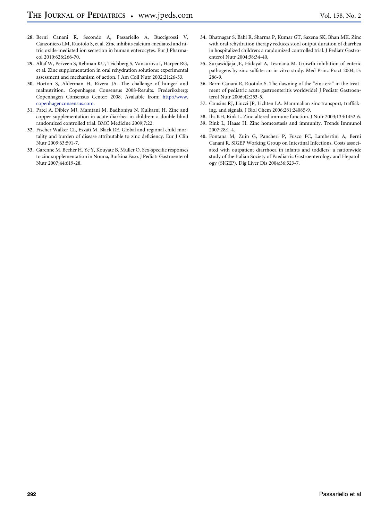- 28. Berni Canani R, Secondo A, Passariello A, Buccigrossi V, Canzoniero LM, Ruotolo S, et al. Zinc inhibits calcium-mediated and nitric oxide-mediated ion secretion in human enterocytes. Eur J Pharmacol 2010;626:266-70.
- 29. Altaf W, Perveen S, Rehman KU, Teichberg S, Vancurova I, Harper RG, et al. Zinc supplementation in oral rehydration solutions: experimental assessment and mechanism of action. J Am Coll Nutr 2002;21:26-33.
- 30. Horton S, Alderman H, Rivera JA. The challenge of hunger and malnutrition. Copenhagen Consensus 2008-Results. Frederiksberg: Copenhagen Consensus Center; 2008. Avalaible from: [http://www.](http://www.copenhagenconsensus.com) [copenhagenconsensus.com.](http://www.copenhagenconsensus.com)
- 31. Patel A, Dibley MJ, Mamtani M, Badhoniya N, Kulkarni H. Zinc and copper supplementation in acute diarrhea in children: a double-blind randomized controlled trial. BMC Medicine 2009;7:22.
- 32. Fischer Walker CL, Ezzati M, Black RE. Global and regional child mortality and burden of disease attributable to zinc deficiency. Eur J Clin Nutr 2009;63:591-7.
- <span id="page-4-0"></span>33. Garenne M, Becher H, Ye Y, Kouyate B, Müller O. Sex-specific responses to zinc supplementation in Nouna, Burkina Faso. J Pediatr Gastroenterol Nutr 2007;44:619-28.
- 34. Bhatnagar S, Bahl R, Sharma P, Kumar GT, Saxena SK, Bhan MK. Zinc with oral rehydration therapy reduces stool output duration of diarrhea in hospitalized children: a randomized controlled trial. J Pediatr Gastroenterol Nutr 2004;38:34-40.
- 35. Surjawidjaja JE, Hidayat A, Lesmana M. Growth inhibition of enteric pathogens by zinc sulfate: an in vitro study. Med Princ Pract 2004;13: 286-9.
- 36. Berni Canani R, Ruotolo S. The dawning of the "zinc era" in the treatment of pediatric acute gastroenteritis worldwide? J Pediatr Gastroenterol Nutr 2006;42:253-5.
- 37. Cousins RJ, Liuzzi JP, Lichten LA. Mammalian zinc transport, trafficking, and signals. J Biol Chem 2006;281:24085-9.
- 38. Ibs KH, Rink L. Zinc-altered immune function. J Nutr 2003;133:1452-6.
- 39. Rink L, Haase H. Zinc homeostasis and immunity. Trends Immunol 2007;28:1-4.
- 40. Fontana M, Zuin G, Pancheri P, Fusco FC, Lambertini A, Berni Canani R, SIGEP Working Group on Intestinal Infections. Costs associated with outpatient diarrhoea in infants and toddlers: a nationwide study of the Italian Society of Paediatric Gastroenterology and Hepatology (SIGEP). Dig Liver Dis 2004;36:523-7.